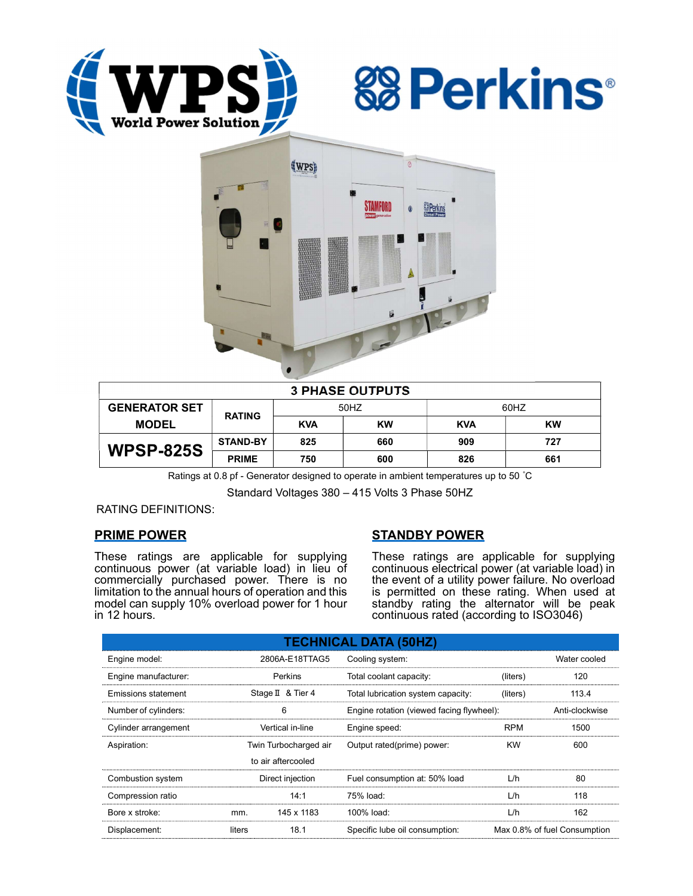





| <b>3 PHASE OUTPUTS</b> |                 |            |           |            |           |  |  |
|------------------------|-----------------|------------|-----------|------------|-----------|--|--|
| <b>GENERATOR SET</b>   | <b>RATING</b>   | 50HZ       |           | 60HZ       |           |  |  |
| <b>MODEL</b>           |                 | <b>KVA</b> | <b>KW</b> | <b>KVA</b> | <b>KW</b> |  |  |
| <b>WPSP-825S</b>       | <b>STAND-BY</b> | 825        | 660       | 909        | 727       |  |  |
|                        | <b>PRIME</b>    | 750        | 600       | 826        | 661       |  |  |

Ratings at 0.8 pf - Generator designed to operate in ambient temperatures up to 50 °C

Standard Voltages 380 – 415 Volts 3 Phase 50HZ

RATING DEFINITIONS:

## PRIME POWER

These ratings are applicable for supplying continuous power (at variable load) in lieu of commercially purchased power. There is no limitation to the annual hours of operation and this model can supply 10% overload power for 1 hour in 12 hours.

# STANDBY POWER

These ratings are applicable for supplying continuous electrical power (at variable load) in the event of a utility power failure. No overload is permitted on these rating. When used at standby rating the alternator will be peak continuous rated (according to ISO3046)

| <b>TECHNICAL DATA (50HZ)</b> |                       |                    |                                           |                              |                |  |  |
|------------------------------|-----------------------|--------------------|-------------------------------------------|------------------------------|----------------|--|--|
| Engine model:                | 2806A-E18TTAG5        |                    | Cooling system:                           | Water cooled                 |                |  |  |
| Engine manufacturer:         | Perkins               |                    | Total coolant capacity:                   | (liters)                     | 120            |  |  |
| Emissions statement          |                       | Stage II & Tier 4  | Total lubrication system capacity:        | (liters)                     | 113.4          |  |  |
| Number of cylinders:         | 6                     |                    | Engine rotation (viewed facing flywheel): |                              | Anti-clockwise |  |  |
| Cylinder arrangement         | Vertical in-line      |                    | Engine speed:                             | <b>RPM</b>                   | 1500           |  |  |
| Aspiration:                  | Twin Turbocharged air |                    | Output rated(prime) power:                | <b>KW</b>                    | 600            |  |  |
|                              |                       | to air aftercooled |                                           |                              |                |  |  |
| Combustion system            | Direct injection      |                    | Fuel consumption at: 50% load             | L/h                          | 80             |  |  |
| Compression ratio            |                       | 14:1               | 75% load:                                 | L/h                          | 118            |  |  |
| Bore x stroke:               | mm.                   | 145 x 1183         | 100% load:                                | L/h                          | 162            |  |  |
| Displacement:                | 18.1<br>liters        |                    | Specific lube oil consumption:            | Max 0.8% of fuel Consumption |                |  |  |